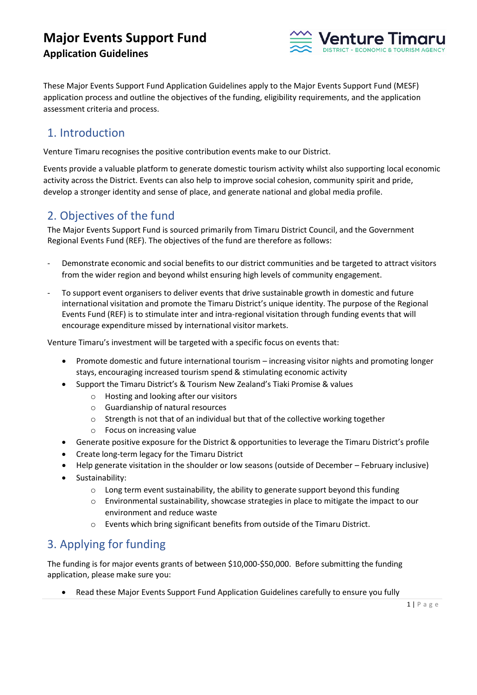

These Major Events Support Fund Application Guidelines apply to the Major Events Support Fund (MESF) application process and outline the objectives of the funding, eligibility requirements, and the application assessment criteria and process.

### 1. Introduction

Venture Timaru recognises the positive contribution events make to our District.

Events provide a valuable platform to generate domestic tourism activity whilst also supporting local economic activity across the District. Events can also help to improve social cohesion, community spirit and pride, develop a stronger identity and sense of place, and generate national and global media profile.

### 2. Objectives of the fund

The Major Events Support Fund is sourced primarily from Timaru District Council, and the Government Regional Events Fund (REF). The objectives of the fund are therefore as follows:

- Demonstrate economic and social benefits to our district communities and be targeted to attract visitors from the wider region and beyond whilst ensuring high levels of community engagement.
- To support event organisers to deliver events that drive sustainable growth in domestic and future international visitation and promote the Timaru District's unique identity. The purpose of the Regional Events Fund (REF) is to stimulate inter and intra-regional visitation through funding events that will encourage expenditure missed by international visitor markets.

Venture Timaru's investment will be targeted with a specific focus on events that:

- Promote domestic and future international tourism increasing visitor nights and promoting longer stays, encouraging increased tourism spend & stimulating economic activity
- Support the Timaru District's & Tourism New Zealand's Tiaki Promise & values
	- o Hosting and looking after our visitors
	- o Guardianship of natural resources
	- o Strength is not that of an individual but that of the collective working together
	- o Focus on increasing value
- Generate positive exposure for the District & opportunities to leverage the Timaru District's profile
- Create long-term legacy for the Timaru District
- Help generate visitation in the shoulder or low seasons (outside of December February inclusive)
- Sustainability:
	- $\circ$  Long term event sustainability, the ability to generate support beyond this funding
	- o Environmental sustainability, showcase strategies in place to mitigate the impact to our environment and reduce waste
	- o Events which bring significant benefits from outside of the Timaru District.

# 3. Applying for funding

The funding is for major events grants of between \$10,000-\$50,000. Before submitting the funding application, please make sure you:

• Read these Major Events Support Fund Application Guidelines carefully to ensure you fully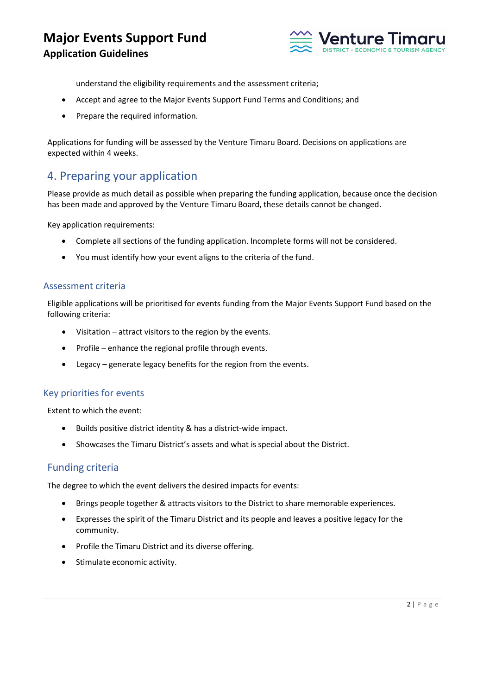# **Major Events Support Fund**

#### **Application Guidelines**



understand the eligibility requirements and the assessment criteria;

- Accept and agree to the Major Events Support Fund Terms and Conditions; and
- Prepare the required information.

Applications for funding will be assessed by the Venture Timaru Board. Decisions on applications are expected within 4 weeks.

### 4. Preparing your application

Please provide as much detail as possible when preparing the funding application, because once the decision has been made and approved by the Venture Timaru Board, these details cannot be changed.

Key application requirements:

- Complete all sections of the funding application. Incomplete forms will not be considered.
- You must identify how your event aligns to the criteria of the fund.

#### Assessment criteria

Eligible applications will be prioritised for events funding from the Major Events Support Fund based on the following criteria:

- Visitation attract visitors to the region by the events.
- Profile enhance the regional profile through events.
- Legacy generate legacy benefits for the region from the events.

#### Key priorities for events

Extent to which the event:

- Builds positive district identity & has a district-wide impact.
- Showcases the Timaru District's assets and what is special about the District.

#### Funding criteria

The degree to which the event delivers the desired impacts for events:

- Brings people together & attracts visitors to the District to share memorable experiences.
- Expresses the spirit of the Timaru District and its people and leaves a positive legacy for the community.
- Profile the Timaru District and its diverse offering.
- Stimulate economic activity.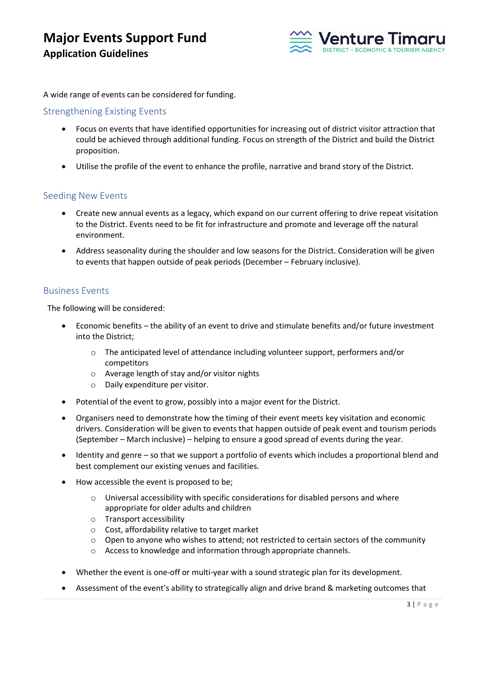

A wide range of events can be considered for funding.

#### Strengthening Existing Events

- Focus on events that have identified opportunities for increasing out of district visitor attraction that could be achieved through additional funding. Focus on strength of the District and build the District proposition.
- Utilise the profile of the event to enhance the profile, narrative and brand story of the District.

#### Seeding New Events

- Create new annual events as a legacy, which expand on our current offering to drive repeat visitation to the District. Events need to be fit for infrastructure and promote and leverage off the natural environment.
- Address seasonality during the shoulder and low seasons for the District. Consideration will be given to events that happen outside of peak periods (December – February inclusive).

#### Business Events

The following will be considered:

- Economic benefits the ability of an event to drive and stimulate benefits and/or future investment into the District;
	- o The anticipated level of attendance including volunteer support, performers and/or competitors
	- o Average length of stay and/or visitor nights
	- o Daily expenditure per visitor.
- Potential of the event to grow, possibly into a major event for the District.
- Organisers need to demonstrate how the timing of their event meets key visitation and economic drivers. Consideration will be given to events that happen outside of peak event and tourism periods (September – March inclusive) – helping to ensure a good spread of events during the year.
- Identity and genre so that we support a portfolio of events which includes a proportional blend and best complement our existing venues and facilities.
- How accessible the event is proposed to be;
	- o Universal accessibility with specific considerations for disabled persons and where appropriate for older adults and children
	- o Transport accessibility
	- o Cost, affordability relative to target market
	- o Open to anyone who wishes to attend; not restricted to certain sectors of the community
	- o Access to knowledge and information through appropriate channels.
- Whether the event is one-off or multi-year with a sound strategic plan for its development.
- Assessment of the event's ability to strategically align and drive brand & marketing outcomes that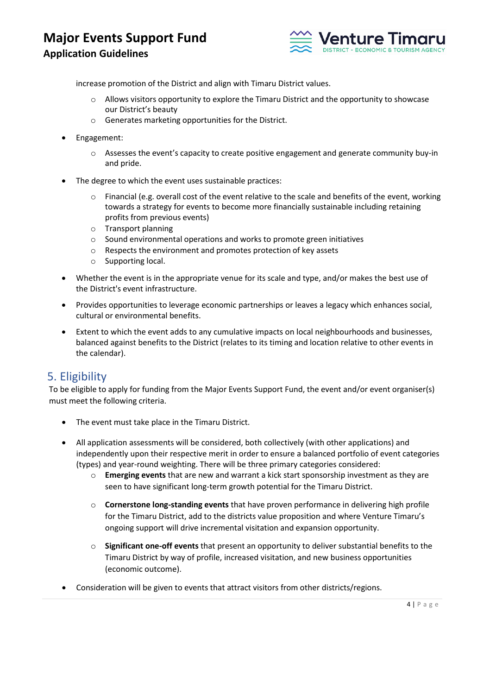

increase promotion of the District and align with Timaru District values.

- o Allows visitors opportunity to explore the Timaru District and the opportunity to showcase our District's beauty
- o Generates marketing opportunities for the District.
- Engagement:
	- $\circ$  Assesses the event's capacity to create positive engagement and generate community buy-in and pride.
- The degree to which the event uses sustainable practices:
	- $\circ$  Financial (e.g. overall cost of the event relative to the scale and benefits of the event, working towards a strategy for events to become more financially sustainable including retaining profits from previous events)
	- o Transport planning
	- o Sound environmental operations and works to promote green initiatives
	- o Respects the environment and promotes protection of key assets
	- o Supporting local.
- Whether the event is in the appropriate venue for its scale and type, and/or makes the best use of the District's event infrastructure.
- Provides opportunities to leverage economic partnerships or leaves a legacy which enhances social, cultural or environmental benefits.
- Extent to which the event adds to any cumulative impacts on local neighbourhoods and businesses, balanced against benefits to the District (relates to its timing and location relative to other events in the calendar).

### 5. Eligibility

To be eligible to apply for funding from the Major Events Support Fund, the event and/or event organiser(s) must meet the following criteria.

- The event must take place in the Timaru District.
- All application assessments will be considered, both collectively (with other applications) and independently upon their respective merit in order to ensure a balanced portfolio of event categories (types) and year-round weighting. There will be three primary categories considered:
	- o **Emerging events** that are new and warrant a kick start sponsorship investment as they are seen to have significant long-term growth potential for the Timaru District.
	- o **Cornerstone long-standing events** that have proven performance in delivering high profile for the Timaru District, add to the districts value proposition and where Venture Timaru's ongoing support will drive incremental visitation and expansion opportunity.
	- o **Significant one-off events** that present an opportunity to deliver substantial benefits to the Timaru District by way of profile, increased visitation, and new business opportunities (economic outcome).
- Consideration will be given to events that attract visitors from other districts/regions.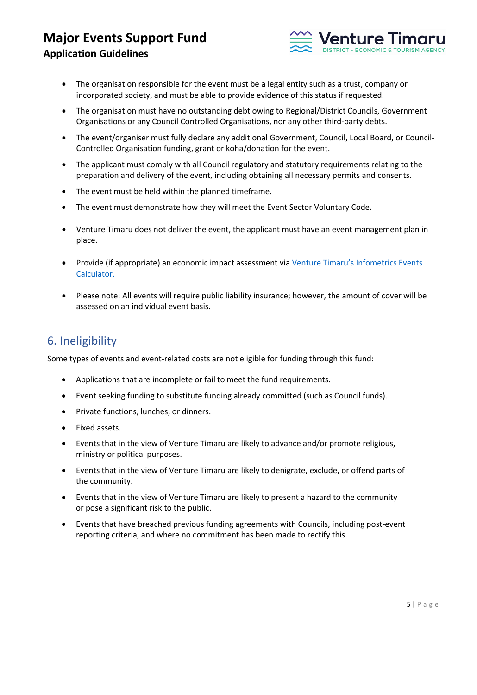

- The organisation responsible for the event must be a legal entity such as a trust, company or incorporated society, and must be able to provide evidence of this status if requested.
- The organisation must have no outstanding debt owing to Regional/District Councils, Government Organisations or any Council Controlled Organisations, nor any other third-party debts.
- The event/organiser must fully declare any additional Government, Council, Local Board, or Council-Controlled Organisation funding, grant or koha/donation for the event.
- The applicant must comply with all Council regulatory and statutory requirements relating to the preparation and delivery of the event, including obtaining all necessary permits and consents.
- The event must be held within the planned timeframe.
- The event must demonstrate how they will meet the Event Sector Voluntary Code.
- Venture Timaru does not deliver the event, the applicant must have an event management plan in place.
- Provide (if appropriate) an economic impact assessment via Venture Timaru's Infometrics Events [Calculator.](https://www.vtdevelopment.co.nz/business/events-calculator)
- Please note: All events will require public liability insurance; however, the amount of cover will be assessed on an individual event basis.

### 6. Ineligibility

Some types of events and event-related costs are not eligible for funding through this fund:

- Applications that are incomplete or fail to meet the fund requirements.
- Event seeking funding to substitute funding already committed (such as Council funds).
- Private functions, lunches, or dinners.
- Fixed assets.
- Events that in the view of Venture Timaru are likely to advance and/or promote religious, ministry or political purposes.
- Events that in the view of Venture Timaru are likely to denigrate, exclude, or offend parts of the community.
- Events that in the view of Venture Timaru are likely to present a hazard to the community or pose a significant risk to the public.
- Events that have breached previous funding agreements with Councils, including post-event reporting criteria, and where no commitment has been made to rectify this.